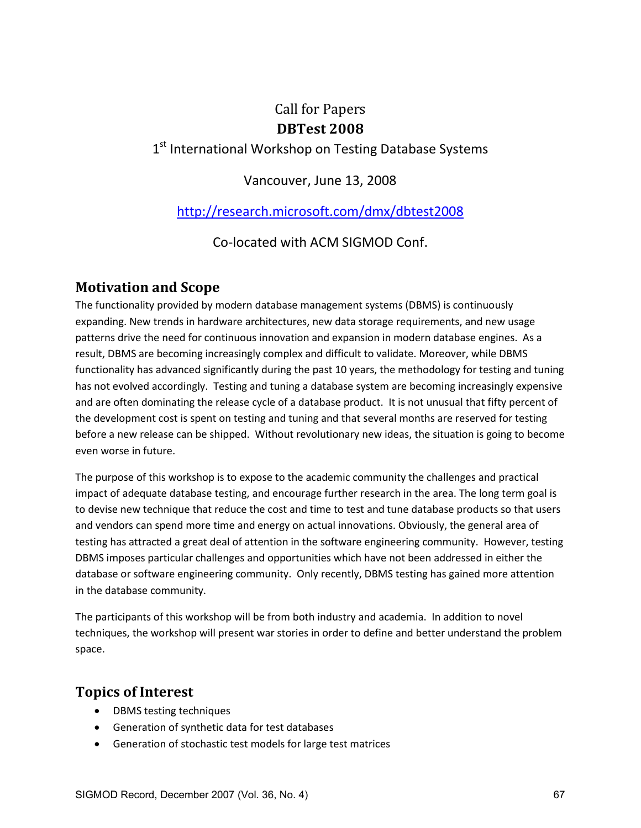# Call for Papers **DBTest 2008**

## 1<sup>st</sup> International Workshop on Testing Database Systems

Vancouver, June 13, 2008

<http://research.microsoft.com/dmx/dbtest2008>

Co-located with ACM SIGMOD Conf.

### **Motivation and Scope**

The functionality provided by modern database management systems (DBMS) is continuously expanding. New trends in hardware architectures, new data storage requirements, and new usage patterns drive the need for continuous innovation and expansion in modern database engines. As a result, DBMS are becoming increasingly complex and difficult to validate. Moreover, while DBMS functionality has advanced significantly during the past 10 years, the methodology for testing and tuning has not evolved accordingly. Testing and tuning a database system are becoming increasingly expensive and are often dominating the release cycle of a database product. It is not unusual that fifty percent of the development cost is spent on testing and tuning and that several months are reserved for testing before a new release can be shipped. Without revolutionary new ideas, the situation is going to become even worse in future.

The purpose of this workshop is to expose to the academic community the challenges and practical impact of adequate database testing, and encourage further research in the area. The long term goal is to devise new technique that reduce the cost and time to test and tune database products so that users and vendors can spend more time and energy on actual innovations. Obviously, the general area of testing has attracted a great deal of attention in the software engineering community. However, testing DBMS imposes particular challenges and opportunities which have not been addressed in either the database or software engineering community. Only recently, DBMS testing has gained more attention in the database community.

The participants of this workshop will be from both industry and academia. In addition to novel techniques, the workshop will present war stories in order to define and better understand the problem space.

### **Topics of Interest**

- DBMS testing techniques
- Generation of synthetic data for test databases
- Generation of stochastic test models for large test matrices